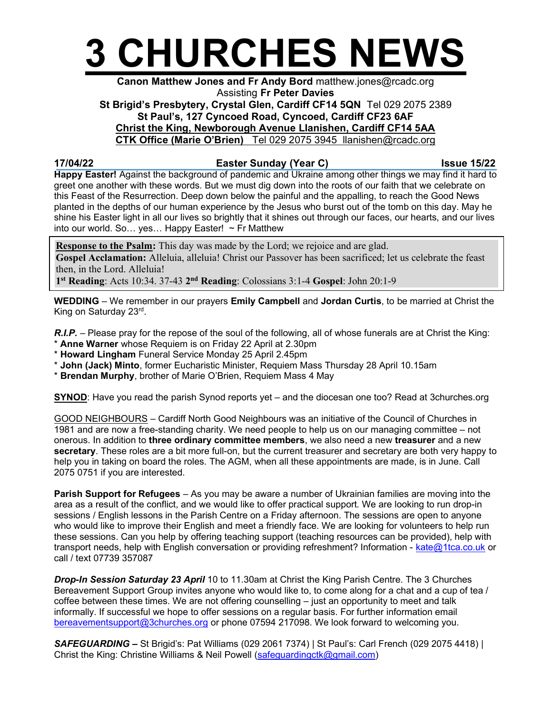

## Canon Matthew Jones and Fr Andy Bord matthew.jones@rcadc.org Assisting Fr Peter Davies

St Brigid's Presbytery, Crystal Glen, Cardiff CF14 5QN Tel 029 2075 2389 St Paul's, 127 Cyncoed Road, Cyncoed, Cardiff CF23 6AF

Christ the King, Newborough Avenue Llanishen, Cardiff CF14 5AA

CTK Office (Marie O'Brien) Tel 029 2075 3945 llanishen@rcadc.org

## 17/04/22 **Easter Sunday (Year C)** Issue 15/22

Happy Easter! Against the background of pandemic and Ukraine among other things we may find it hard to greet one another with these words. But we must dig down into the roots of our faith that we celebrate on this Feast of the Resurrection. Deep down below the painful and the appalling, to reach the Good News planted in the depths of our human experience by the Jesus who burst out of the tomb on this day. May he shine his Easter light in all our lives so brightly that it shines out through our faces, our hearts, and our lives into our world. So… yes… Happy Easter! ~ Fr Matthew

**Response to the Psalm:** This day was made by the Lord; we rejoice and are glad. Gospel Acclamation: Alleluia, alleluia! Christ our Passover has been sacrificed; let us celebrate the feast then, in the Lord. Alleluia!

1<sup>st</sup> Reading: Acts 10:34. 37-43 2<sup>nd</sup> Reading: Colossians 3:1-4 Gospel: John 20:1-9

WEDDING – We remember in our prayers Emily Campbell and Jordan Curtis, to be married at Christ the King on Saturday 23rd .

R.I.P. – Please pray for the repose of the soul of the following, all of whose funerals are at Christ the King: \* Anne Warner whose Requiem is on Friday 22 April at 2.30pm

- \* Howard Lingham Funeral Service Monday 25 April 2.45pm
- \* John (Jack) Minto, former Eucharistic Minister, Requiem Mass Thursday 28 April 10.15am
- \* Brendan Murphy, brother of Marie O'Brien, Requiem Mass 4 May

SYNOD: Have you read the parish Synod reports yet – and the diocesan one too? Read at 3churches.org

GOOD NEIGHBOURS – Cardiff North Good Neighbours was an initiative of the Council of Churches in 1981 and are now a free-standing charity. We need people to help us on our managing committee – not onerous. In addition to three ordinary committee members, we also need a new treasurer and a new secretary. These roles are a bit more full-on, but the current treasurer and secretary are both very happy to help you in taking on board the roles. The AGM, when all these appointments are made, is in June. Call 2075 0751 if you are interested.

Parish Support for Refugees – As you may be aware a number of Ukrainian families are moving into the area as a result of the conflict, and we would like to offer practical support. We are looking to run drop-in sessions / English lessons in the Parish Centre on a Friday afternoon. The sessions are open to anyone who would like to improve their English and meet a friendly face. We are looking for volunteers to help run these sessions. Can you help by offering teaching support (teaching resources can be provided), help with transport needs, help with English conversation or providing refreshment? Information - kate@1tca.co.uk or call / text 07739 357087

Drop-In Session Saturday 23 April 10 to 11.30am at Christ the King Parish Centre. The 3 Churches Bereavement Support Group invites anyone who would like to, to come along for a chat and a cup of tea / coffee between these times. We are not offering counselling – just an opportunity to meet and talk informally. If successful we hope to offer sessions on a regular basis. For further information email bereavementsupport@3churches.org or phone 07594 217098. We look forward to welcoming you.

SAFEGUARDING - St Brigid's: Pat Williams (029 2061 7374) | St Paul's: Carl French (029 2075 4418) | Christ the King: Christine Williams & Neil Powell (safeguardingctk@gmail.com)